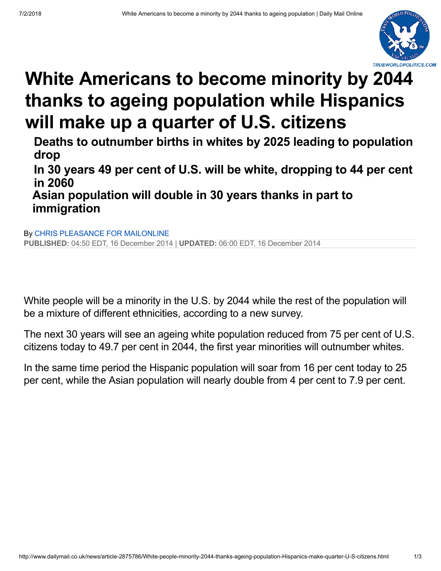

## **White Americans to become minority by 2044 [thanks to ageing population while Hispanics](http://www.dailymail.co.uk/news/article-2875786/White-people-minority-2044-thanks-ageing-population-Hispanics-make-quarter-U-S-citizens.html) will make up a quarter of U.S. citizens**

**Deaths to outnumber births in whites by 2025 leading to population drop**

**In 30 years 49 per cent of U.S. will be white, dropping to 44 per cent in 2060**

**[Asian population will dou](http://www.dailymail.co.uk/home/search.html?s=&authornamef=Chris+Pleasance+for+MailOnline)ble in 30 years thanks in part to immigration**

By CHRIS PLEASANCE FOR MAILONLINE **PUBLISHED:** 04:50 EDT, 16 December 2014 | **[UPD](mailto:?subject=Read%20this:%20White%20people%20to%20become%20a%20minority%20by%202044%20thanks%20to%20ageing%20population%20while%20Hispanics%20will%20make%20up%20a%20quarter%20of%20U.S.%20citizens&body=White%20people%20to%20become%20a%20minority%20by%202044%20thanks%20to%20ageing%20population%20while%20Hispanics%20will%20make%20up%20a%20quarter%20of%20U.S.%20citizens%0A%0AWhile%20whites%20will%20still%20be%20the%20the%20largest%20single%20ethnic%20group%20by%202044%2C%20America%20will%20become%20a%20%27majority%20of%20minorities%27%20nation%2C%20as%20all%20other%20races%20combined%20will%20make%20up%2050.3%20per%20cent%20of%20the%20population.%0A%0Ahttp%3A%2F%2Fwww.dailymail.co.uk%2Fnews%2Farticle-2875786%2FWhite-people-minority-2044-thanks-ageing-population-Hispanics-make-quarter-U-S-citizens.html%3Fito%3Demail_share_article-top%0A%0A%0AMost%20Read%20Articles%3A%0A%0AEight%20gang%20members%20accused%20in%20machete%20killing%20of%20teen%20in%20the%20Bronx%20are%20getting%20special%20treatment%20in%20jail%20because%20of%20constant%20death%20threats%0Ahttp%3A%2F%2Fwww.dailymail.co.uk%2Fnews%2Farticle-5907613%2FBronx-bodega-slay-suspects-getting-special-treatment-Rikers-Island.html%3Fito%3Demail_share_article-top_most-read-articles%0A%0ASometimes%20heroes%20do%20wear%20capes%3A%20Heroic%20golden%20retriever%20puppy%20is%20left%20with%20a%20very%20swollen%20snout%20after%20jumping%20between%20his%20owner%20and%20a%20rattlesnake%20in%20Arizona%2C%20saving%20her%20from%20being%20bitten%20and%20taking%20the%20hit%20himself%0Ahttp%3A%2F%2Fwww.dailymail.co.uk%2Fnews%2Farticle-5907209%2FHeroic-golden-retriever-bit-face-rattlesnake-protecting-owner-Arizona.html%3Fito%3Demail_share_article-top_most-read-articles%0A%0ATaking%20his%20talents%20to%20LA%21%20LeBron%20James%20agrees%20to%20join%20Los%20Angeles%20Lakers%20on%20a%20four-year%20contract%20for%20%24154MILLION%2C%20and%20legend%20Kobe%20Bryant%20is%20the%20first%20to%20welcome%20him%20to%20California%0Ahttp%3A%2F%2Fwww.dailymail.co.uk%2Fnews%2Farticle-5907589%2FLeBron-James-joins-Los-Angeles-Lakers-four-year-contract-154MILLION.html%3Fito%3Demail_share_article-top_most-read-articles%0A%0A)[ATED:](http://www.dailymail.co.uk/news/article-2875786/White-people-minority-2044-thanks-ageing-population-Hispanics-make-quarter-U-S-citizens.html#socialLinks)** 06:00 EDT, 16 December 2014

White people will be a minority in the U.S. by 2044 while the rest of the population will be a mixture of different ethnicities, according to a new survey.

The next 30 years will see an ageing white population reduced from 75 per cent of U.S. citizens today to 49.7 per cent in 2044, the first year minorities will outnumber whites.

In the same time period the Hispanic population will soar from 16 per cent today to 25 per cent, while the Asian population will nearly double from 4 per cent to 7.9 per cent.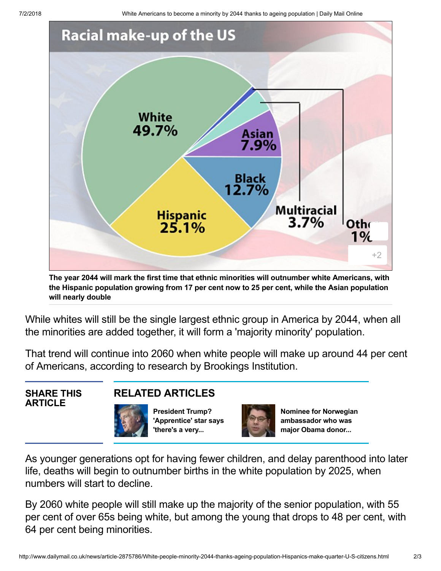7/2/2018 White Americans to become a minority by 2044 thanks to ageing population | Daily Mail Online



**The year 2044 will mark the first time that ethnic minorities will outnumber white Americans, with the Hispanic population growing from 17 per cent now to 25 per cent, while the Asian population will nearly double**

While whites will still be the single largest ethnic group in America by 2044, when all the minorities are added together, it will form a 'majority minority' population.

That trend will continue into 2060 when white people will make up around 44 per cent of Americans, according to research by Brookings Institution.

## **SHARE THIS ARTICLE**

## **RELATED [ARTICLES](http://www.dailymail.co.uk/news/article-2875786/White-people-minority-2044-thanks-ageing-population-Hispanics-make-quarter-U-S-citizens.html#)**

**President Trump? ['Apprentice'](http://www.dailymail.co.uk/news/article-2875535/President-Trump-Apprentice-star-says-s-substantial-chance-ll-run-2016-slaps-GOP-White-House-hopeful-Ted-Cruz-born-Canada.html) star says 'there's a very...**



**Nominee for Norwegian [ambassador](http://www.dailymail.co.uk/news/article-2875289/Nominee-Norwegian-ambassador-major-Obama-donor-pulls-cringeworthty-Senate-hearing-knew-Norway-s-government.html) who was major Obama donor...**

As younger generations opt for having fewer children, and delay parenthood into later life, deaths will begin to outnumber births in the white population by 2025, when numbers will start to decline.

By 2060 white people will still make up the majority of the senior population, with 55 per cent of over 65s being white, but among the young that drops to 48 per cent, with 64 per cent being minorities.